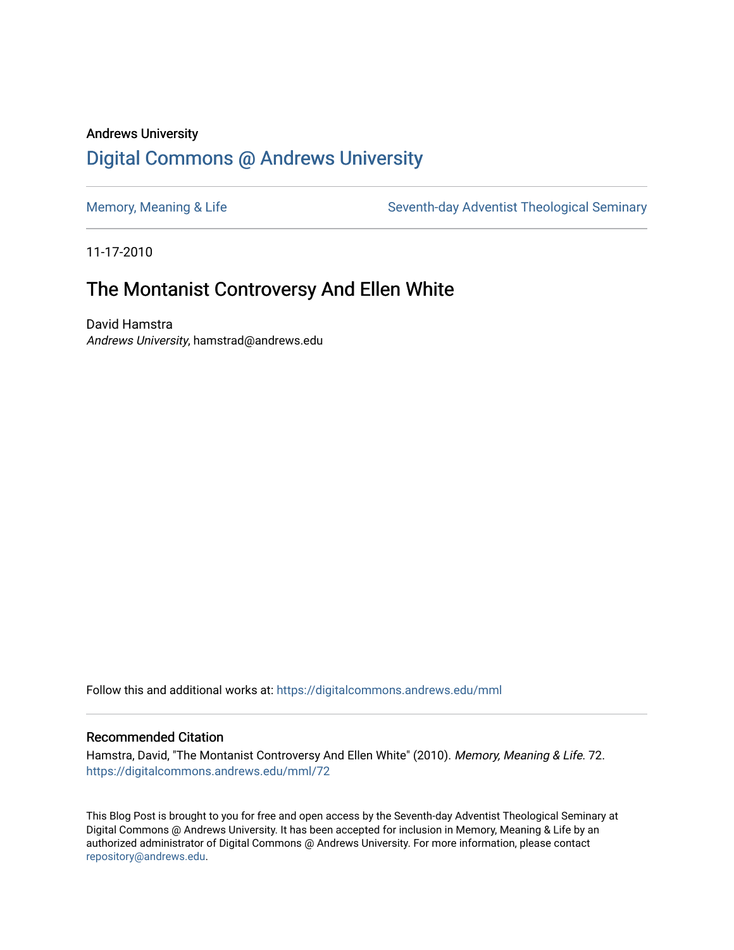## Andrews University [Digital Commons @ Andrews University](https://digitalcommons.andrews.edu/)

[Memory, Meaning & Life](https://digitalcommons.andrews.edu/mml) Seventh-day Adventist Theological Seminary

11-17-2010

## The Montanist Controversy And Ellen White

David Hamstra Andrews University, hamstrad@andrews.edu

Follow this and additional works at: [https://digitalcommons.andrews.edu/mml](https://digitalcommons.andrews.edu/mml?utm_source=digitalcommons.andrews.edu%2Fmml%2F72&utm_medium=PDF&utm_campaign=PDFCoverPages) 

#### Recommended Citation

Hamstra, David, "The Montanist Controversy And Ellen White" (2010). Memory, Meaning & Life. 72. [https://digitalcommons.andrews.edu/mml/72](https://digitalcommons.andrews.edu/mml/72?utm_source=digitalcommons.andrews.edu%2Fmml%2F72&utm_medium=PDF&utm_campaign=PDFCoverPages)

This Blog Post is brought to you for free and open access by the Seventh-day Adventist Theological Seminary at Digital Commons @ Andrews University. It has been accepted for inclusion in Memory, Meaning & Life by an authorized administrator of Digital Commons @ Andrews University. For more information, please contact [repository@andrews.edu](mailto:repository@andrews.edu).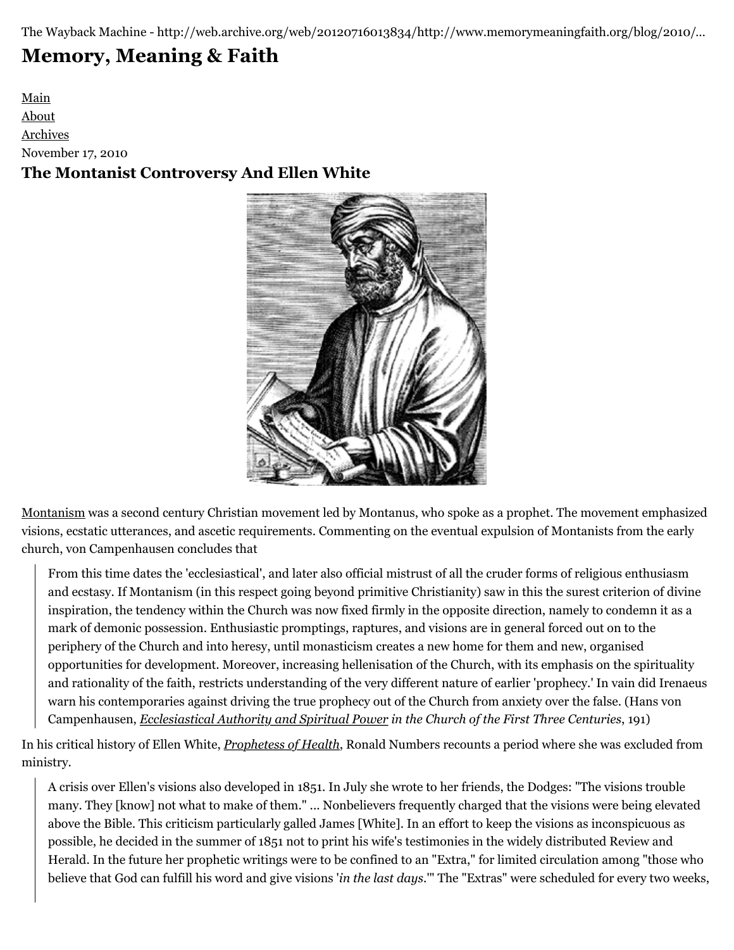The Wayback Machine - http://web.archive.org/web/20120716013834/http://www.memorymeaningfaith.org/blog/2010/…

# **[Memory, Meaning & Faith](http://web.archive.org/web/20120716013834/http://www.memorymeaningfaith.org/blog/)**

[Main](http://web.archive.org/web/20120716013834/http://www.memorymeaningfaith.org/blog) [About](http://web.archive.org/web/20120716013834/http://www.memorymeaningfaith.org/blog/about.html) [Archives](http://web.archive.org/web/20120716013834/http://www.memorymeaningfaith.org/blog/archives.html) November 17, 2010 **The Montanist Controversy And Ellen White**



[Montanism](http://web.archive.org/web/20120716013834/http://en.wikipedia.org/wiki/Montanism) was a second century Christian movement led by Montanus, who spoke as a prophet. The movement emphasized visions, ecstatic utterances, and ascetic requirements. Commenting on the eventual expulsion of Montanists from the early church, von Campenhausen concludes that

From this time dates the 'ecclesiastical', and later also official mistrust of all the cruder forms of religious enthusiasm and ecstasy. If Montanism (in this respect going beyond primitive Christianity) saw in this the surest criterion of divine inspiration, the tendency within the Church was now fixed firmly in the opposite direction, namely to condemn it as a mark of demonic possession. Enthusiastic promptings, raptures, and visions are in general forced out on to the periphery of the Church and into heresy, until monasticism creates a new home for them and new, organised opportunities for development. Moreover, increasing hellenisation of the Church, with its emphasis on the spirituality and rationality of the faith, restricts understanding of the very different nature of earlier 'prophecy.' In vain did Irenaeus warn his contemporaries against driving the true prophecy out of the Church from anxiety over the false. (Hans von Campenhausen, *[Ecclesiastical Authority and Spiritual Power](http://web.archive.org/web/20120716013834/http://books.google.ca/books?id=ZYmaAAAAIAAJ&lpg=PP1&ots=zR1U54RL2k&dq=hans%20von%20campenhausen&pg=PR5#v=onepage&q&f=false) in the Church of the First Three Centuries*, 191)

In his critical history of Ellen White, *[Prophetess of Health](http://web.archive.org/web/20120716013834/http://books.google.ca/books?id=TNRP8NLNyvEC&lpg=PP1&ots=t-IoDvTER3&dq=prophetess%20of%20health&pg=PP1#v=onepage&q&f=false)*, Ronald Numbers recounts a period where she was excluded from ministry.

A crisis over Ellen's visions also developed in 1851. In July she wrote to her friends, the Dodges: "The visions trouble many. They [know] not what to make of them." ... Nonbelievers frequently charged that the visions were being elevated above the Bible. This criticism particularly galled James [White]. In an effort to keep the visions as inconspicuous as possible, he decided in the summer of 1851 not to print his wife's testimonies in the widely distributed Review and Herald. In the future her prophetic writings were to be confined to an "Extra," for limited circulation among "those who believe that God can fulfill his word and give visions '*in the last days*.'" The "Extras" were scheduled for every two weeks,